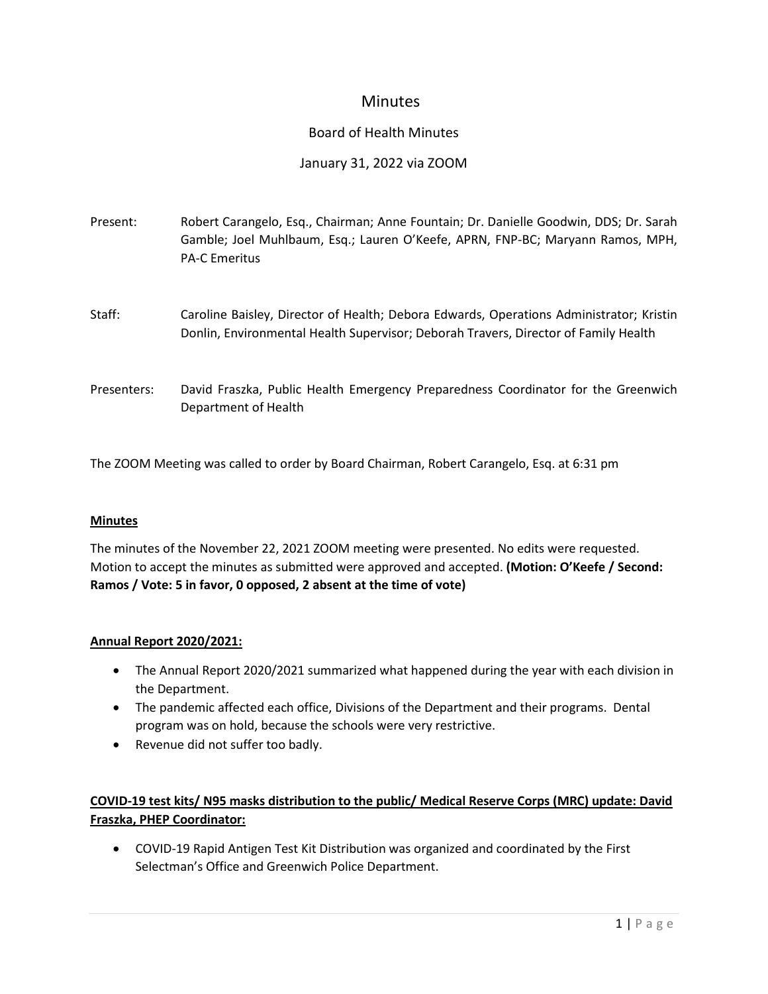# **Minutes**

## Board of Health Minutes

## January 31, 2022 via ZOOM

| Present:    | Robert Carangelo, Esq., Chairman; Anne Fountain; Dr. Danielle Goodwin, DDS; Dr. Sarah<br>Gamble; Joel Muhlbaum, Esq.; Lauren O'Keefe, APRN, FNP-BC; Maryann Ramos, MPH,<br><b>PA-C Emeritus</b> |
|-------------|-------------------------------------------------------------------------------------------------------------------------------------------------------------------------------------------------|
| Staff:      | Caroline Baisley, Director of Health; Debora Edwards, Operations Administrator; Kristin<br>Donlin, Environmental Health Supervisor; Deborah Travers, Director of Family Health                  |
| Presenters: | David Fraszka, Public Health Emergency Preparedness Coordinator for the Greenwich<br>Department of Health                                                                                       |

The ZOOM Meeting was called to order by Board Chairman, Robert Carangelo, Esq. at 6:31 pm

#### **Minutes**

The minutes of the November 22, 2021 ZOOM meeting were presented. No edits were requested. Motion to accept the minutes as submitted were approved and accepted. **(Motion: O'Keefe / Second: Ramos / Vote: 5 in favor, 0 opposed, 2 absent at the time of vote)**

#### **Annual Report 2020/2021:**

- The Annual Report 2020/2021 summarized what happened during the year with each division in the Department.
- The pandemic affected each office, Divisions of the Department and their programs. Dental program was on hold, because the schools were very restrictive.
- Revenue did not suffer too badly.

# **COVID-19 test kits/ N95 masks distribution to the public/ Medical Reserve Corps (MRC) update: David Fraszka, PHEP Coordinator:**

• COVID-19 Rapid Antigen Test Kit Distribution was organized and coordinated by the First Selectman's Office and Greenwich Police Department.